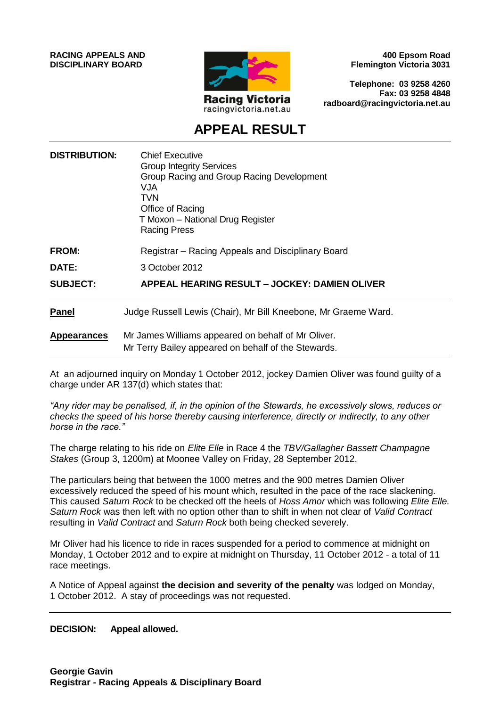**RACING APPEALS AND DISCIPLINARY BOARD**



**400 Epsom Road Flemington Victoria 3031**

**Telephone: 03 9258 4260 Fax: 03 9258 4848 radboard@racingvictoria.net.au**

# **APPEAL RESULT**

| <b>DISTRIBUTION:</b> | <b>Chief Executive</b><br><b>Group Integrity Services</b><br>Group Racing and Group Racing Development<br>VJA<br><b>TVN</b><br>Office of Racing<br>T Moxon - National Drug Register<br><b>Racing Press</b> |
|----------------------|------------------------------------------------------------------------------------------------------------------------------------------------------------------------------------------------------------|
| <b>FROM:</b>         | Registrar – Racing Appeals and Disciplinary Board                                                                                                                                                          |
| DATE:                | 3 October 2012                                                                                                                                                                                             |
| <b>SUBJECT:</b>      | APPEAL HEARING RESULT – JOCKEY: DAMIEN OLIVER                                                                                                                                                              |
| Panel                | Judge Russell Lewis (Chair), Mr Bill Kneebone, Mr Graeme Ward.                                                                                                                                             |
| <b>Appearances</b>   | Mr James Williams appeared on behalf of Mr Oliver.<br>Mr Terry Bailey appeared on behalf of the Stewards.                                                                                                  |

At an adjourned inquiry on Monday 1 October 2012, jockey Damien Oliver was found guilty of a charge under AR 137(d) which states that:

*"Any rider may be penalised, if, in the opinion of the Stewards, he excessively slows, reduces or checks the speed of his horse thereby causing interference, directly or indirectly, to any other horse in the race."*

The charge relating to his ride on *Elite Elle* in Race 4 the *TBV/Gallagher Bassett Champagne Stakes* (Group 3, 1200m) at Moonee Valley on Friday, 28 September 2012.

The particulars being that between the 1000 metres and the 900 metres Damien Oliver excessively reduced the speed of his mount which, resulted in the pace of the race slackening. This caused *Saturn Rock* to be checked off the heels of *Hoss Amor* which was following *Elite Elle. Saturn Rock* was then left with no option other than to shift in when not clear of *Valid Contract* resulting in *Valid Contract* and *Saturn Rock* both being checked severely.

Mr Oliver had his licence to ride in races suspended for a period to commence at midnight on Monday, 1 October 2012 and to expire at midnight on Thursday, 11 October 2012 - a total of 11 race meetings.

A Notice of Appeal against **the decision and severity of the penalty** was lodged on Monday, 1 October 2012. A stay of proceedings was not requested.

**DECISION: Appeal allowed.**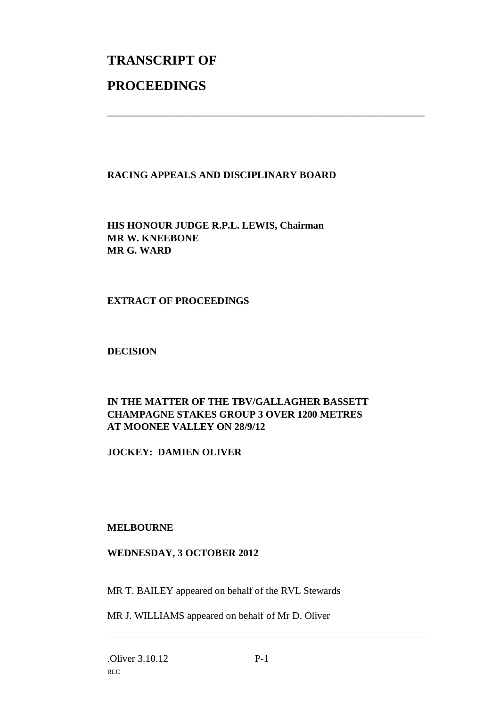# **TRANSCRIPT OF PROCEEDINGS**

# **RACING APPEALS AND DISCIPLINARY BOARD**

\_\_\_\_\_\_\_\_\_\_\_\_\_\_\_\_\_\_\_\_\_\_\_\_\_\_\_\_\_\_\_\_\_\_\_\_\_\_\_\_\_\_\_\_\_\_\_\_\_\_\_\_\_\_\_\_\_\_\_\_\_\_\_

**HIS HONOUR JUDGE R.P.L. LEWIS, Chairman MR W. KNEEBONE MR G. WARD**

#### **EXTRACT OF PROCEEDINGS**

#### **DECISION**

# **IN THE MATTER OF THE TBV/GALLAGHER BASSETT CHAMPAGNE STAKES GROUP 3 OVER 1200 METRES AT MOONEE VALLEY ON 28/9/12**

**JOCKEY: DAMIEN OLIVER**

# **MELBOURNE**

# **WEDNESDAY, 3 OCTOBER 2012**

MR T. BAILEY appeared on behalf of the RVL Stewards

MR J. WILLIAMS appeared on behalf of Mr D. Oliver